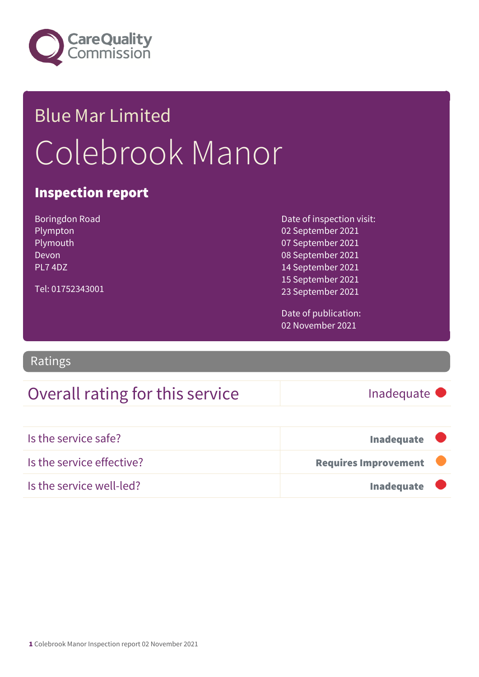

## Blue Mar Limited Colebrook Manor

#### Inspection report

Boringdon Road Plympton Plymouth Devon PL7 4DZ Tel: 01752343001 Date of inspection visit:

02 September 2021 07 September 2021 08 September 2021 14 September 2021 15 September 2021 23 September 2021

Date of publication: 02 November 2021

Ratings

### Overall rating for this service Inadequate

| Is the service safe?      | <b>Inadequate</b>           |  |
|---------------------------|-----------------------------|--|
| Is the service effective? | <b>Requires Improvement</b> |  |
| Is the service well-led?  | <b>Inadequate</b>           |  |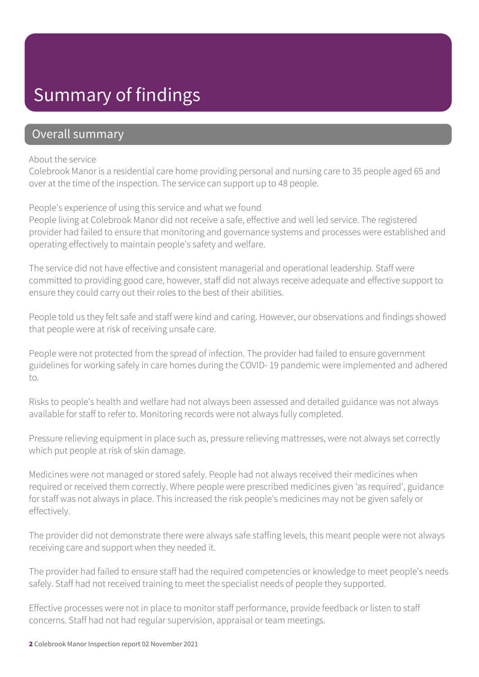## Summary of findings

#### Overall summary

#### About the service

Colebrook Manor is a residential care home providing personal and nursing care to 35 people aged 65 and over at the time of the inspection. The service can support up to 48 people.

People's experience of using this service and what we found

People living at Colebrook Manor did not receive a safe, effective and well led service. The registered provider had failed to ensure that monitoring and governance systems and processes were established and operating effectively to maintain people's safety and welfare.

The service did not have effective and consistent managerial and operational leadership. Staff were committed to providing good care, however, staff did not always receive adequate and effective support to ensure they could carry out their roles to the best of their abilities.

People told us they felt safe and staff were kind and caring. However, our observations and findings showed that people were at risk of receiving unsafe care.

People were not protected from the spread of infection. The provider had failed to ensure government guidelines for working safely in care homes during the COVID- 19 pandemic were implemented and adhered to.

Risks to people's health and welfare had not always been assessed and detailed guidance was not always available for staff to refer to. Monitoring records were not always fully completed.

Pressure relieving equipment in place such as, pressure relieving mattresses, were not always set correctly which put people at risk of skin damage.

Medicines were not managed or stored safely. People had not always received their medicines when required or received them correctly. Where people were prescribed medicines given 'as required', guidance for staff was not always in place. This increased the risk people's medicines may not be given safely or effectively.

The provider did not demonstrate there were always safe staffing levels, this meant people were not always receiving care and support when they needed it.

The provider had failed to ensure staff had the required competencies or knowledge to meet people's needs safely. Staff had not received training to meet the specialist needs of people they supported.

Effective processes were not in place to monitor staff performance, provide feedback or listen to staff concerns. Staff had not had regular supervision, appraisal or team meetings.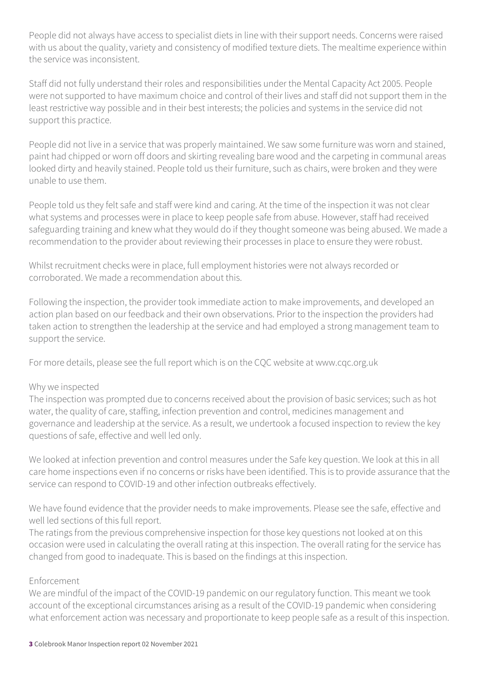People did not always have access to specialist diets in line with their support needs. Concerns were raised with us about the quality, variety and consistency of modified texture diets. The mealtime experience within the service was inconsistent.

Staff did not fully understand their roles and responsibilities under the Mental Capacity Act 2005. People were not supported to have maximum choice and control of their lives and staff did not support them in the least restrictive way possible and in their best interests; the policies and systems in the service did not support this practice.

People did not live in a service that was properly maintained. We saw some furniture was worn and stained, paint had chipped or worn off doors and skirting revealing bare wood and the carpeting in communal areas looked dirty and heavily stained. People told us their furniture, such as chairs, were broken and they were unable to use them.

People told us they felt safe and staff were kind and caring. At the time of the inspection it was not clear what systems and processes were in place to keep people safe from abuse. However, staff had received safeguarding training and knew what they would do if they thought someone was being abused. We made a recommendation to the provider about reviewing their processes in place to ensure they were robust.

Whilst recruitment checks were in place, full employment histories were not always recorded or corroborated. We made a recommendation about this.

Following the inspection, the provider took immediate action to make improvements, and developed an action plan based on our feedback and their own observations. Prior to the inspection the providers had taken action to strengthen the leadership at the service and had employed a strong management team to support the service.

For more details, please see the full report which is on the CQC website at www.cqc.org.uk

#### Why we inspected

The inspection was prompted due to concerns received about the provision of basic services; such as hot water, the quality of care, staffing, infection prevention and control, medicines management and governance and leadership at the service. As a result, we undertook a focused inspection to review the key questions of safe, effective and well led only.

We looked at infection prevention and control measures under the Safe key question. We look at this in all care home inspections even if no concerns or risks have been identified. This is to provide assurance that the service can respond to COVID-19 and other infection outbreaks effectively.

We have found evidence that the provider needs to make improvements. Please see the safe, effective and well led sections of this full report.

The ratings from the previous comprehensive inspection for those key questions not looked at on this occasion were used in calculating the overall rating at this inspection. The overall rating for the service has changed from good to inadequate. This is based on the findings at this inspection.

#### Enforcement

We are mindful of the impact of the COVID-19 pandemic on our regulatory function. This meant we took account of the exceptional circumstances arising as a result of the COVID-19 pandemic when considering what enforcement action was necessary and proportionate to keep people safe as a result of this inspection.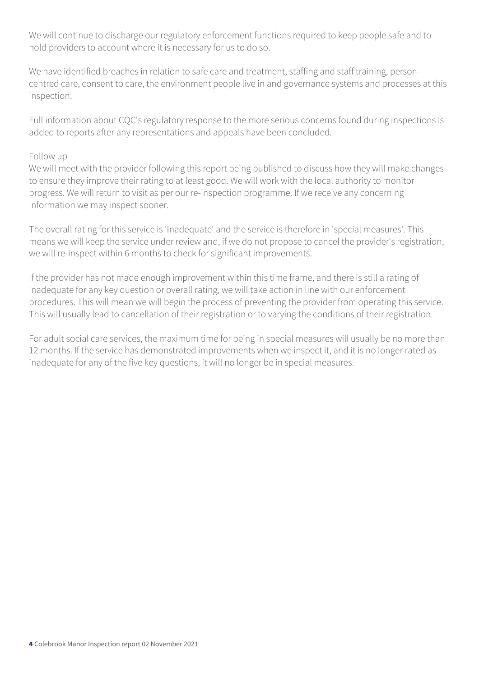We will continue to discharge our regulatory enforcement functions required to keep people safe and to hold providers to account where it is necessary for us to do so.

We have identified breaches in relation to safe care and treatment, staffing and staff training, personcentred care, consent to care, the environment people live in and governance systems and processes at this inspection.

Full information about CQC's regulatory response to the more serious concerns found during inspections is added to reports after any representations and appeals have been concluded.

#### Follow up

We will meet with the provider following this report being published to discuss how they will make changes to ensure they improve their rating to at least good. We will work with the local authority to monitor progress. We will return to visit as per our re-inspection programme. If we receive any concerning information we may inspect sooner.

The overall rating for this service is 'Inadequate' and the service is therefore in 'special measures'. This means we will keep the service under review and, if we do not propose to cancel the provider's registration, we will re-inspect within 6 months to check for significant improvements.

If the provider has not made enough improvement within this time frame, and there is still a rating of inadequate for any key question or overall rating, we will take action in line with our enforcement procedures. This will mean we will begin the process of preventing the provider from operating this service. This will usually lead to cancellation of their registration or to varying the conditions of their registration.

For adult social care services, the maximum time for being in special measures will usually be no more than 12 months. If the service has demonstrated improvements when we inspect it, and it is no longer rated as inadequate for any of the five key questions, it will no longer be in special measures.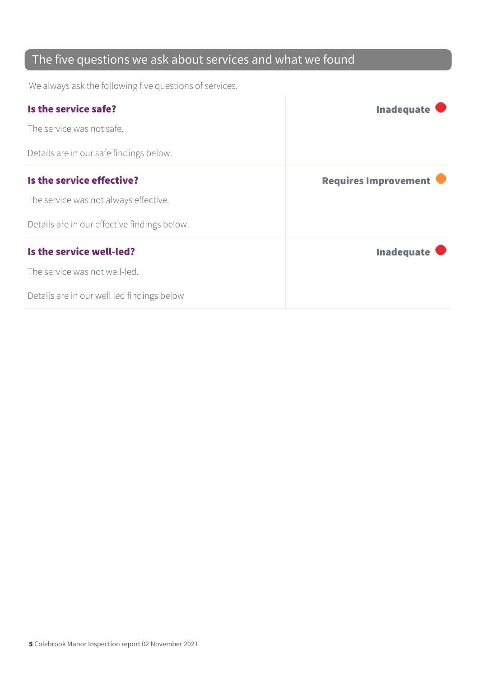## The five questions we ask about services and what we found

We always ask the following five questions of services.

| Is the service safe?                         | <b>Inadequate</b>           |
|----------------------------------------------|-----------------------------|
| The service was not safe.                    |                             |
| Details are in our safe findings below.      |                             |
| Is the service effective?                    | <b>Requires Improvement</b> |
| The service was not always effective.        |                             |
| Details are in our effective findings below. |                             |
| Is the service well-led?                     | <b>Inadequate</b>           |
| The service was not well-led.                |                             |
| Details are in our well led findings below   |                             |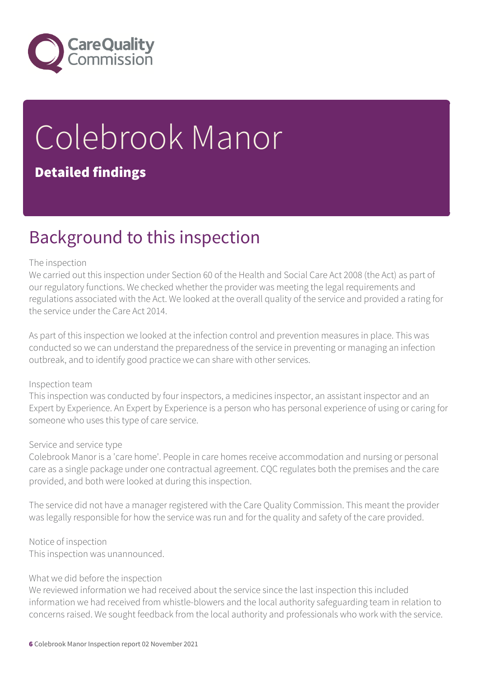

# Colebrook Manor

#### Detailed findings

## Background to this inspection

#### The inspection

We carried out this inspection under Section 60 of the Health and Social Care Act 2008 (the Act) as part of our regulatory functions. We checked whether the provider was meeting the legal requirements and regulations associated with the Act. We looked at the overall quality of the service and provided a rating for the service under the Care Act 2014.

As part of this inspection we looked at the infection control and prevention measures in place. This was conducted so we can understand the preparedness of the service in preventing or managing an infection outbreak, and to identify good practice we can share with other services.

#### Inspection team

This inspection was conducted by four inspectors, a medicines inspector, an assistant inspector and an Expert by Experience. An Expert by Experience is a person who has personal experience of using or caring for someone who uses this type of care service.

#### Service and service type

Colebrook Manor is a 'care home'. People in care homes receive accommodation and nursing or personal care as a single package under one contractual agreement. CQC regulates both the premises and the care provided, and both were looked at during this inspection.

The service did not have a manager registered with the Care Quality Commission. This meant the provider was legally responsible for how the service was run and for the quality and safety of the care provided.

#### Notice of inspection

This inspection was unannounced.

#### What we did before the inspection

We reviewed information we had received about the service since the last inspection this included information we had received from whistle-blowers and the local authority safeguarding team in relation to concerns raised. We sought feedback from the local authority and professionals who work with the service.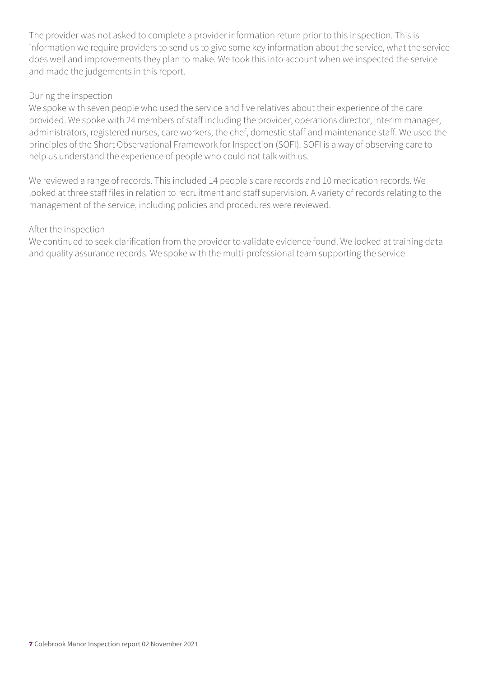The provider was not asked to complete a provider information return prior to this inspection. This is information we require providers to send us to give some key information about the service, what the service does well and improvements they plan to make. We took this into account when we inspected the service and made the judgements in this report.

#### During the inspection

We spoke with seven people who used the service and five relatives about their experience of the care provided. We spoke with 24 members of staff including the provider, operations director, interim manager, administrators, registered nurses, care workers, the chef, domestic staff and maintenance staff. We used the principles of the Short Observational Framework for Inspection (SOFI). SOFI is a way of observing care to help us understand the experience of people who could not talk with us.

We reviewed a range of records. This included 14 people's care records and 10 medication records. We looked at three staff files in relation to recruitment and staff supervision. A variety of records relating to the management of the service, including policies and procedures were reviewed.

#### After the inspection

We continued to seek clarification from the provider to validate evidence found. We looked at training data and quality assurance records. We spoke with the multi-professional team supporting the service.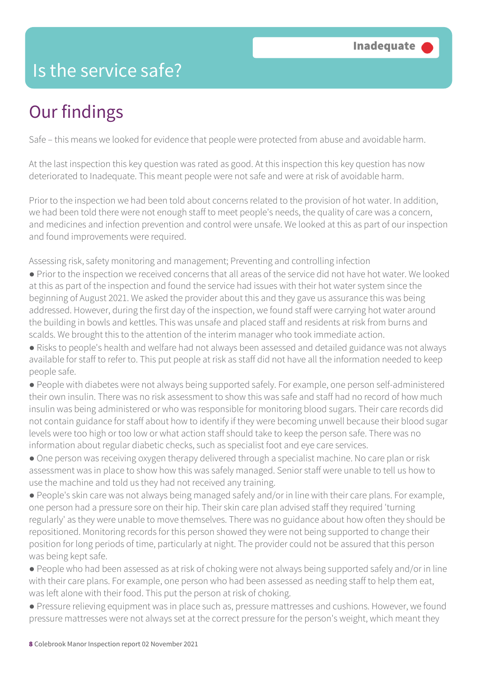## Is the service safe?

## Our findings

Safe – this means we looked for evidence that people were protected from abuse and avoidable harm.

At the last inspection this key question was rated as good. At this inspection this key question has now deteriorated to Inadequate. This meant people were not safe and were at risk of avoidable harm.

Prior to the inspection we had been told about concerns related to the provision of hot water. In addition, we had been told there were not enough staff to meet people's needs, the quality of care was a concern, and medicines and infection prevention and control were unsafe. We looked at this as part of our inspection and found improvements were required.

Assessing risk, safety monitoring and management; Preventing and controlling infection

- Prior to the inspection we received concerns that all areas of the service did not have hot water. We looked at this as part of the inspection and found the service had issues with their hot water system since the beginning of August 2021. We asked the provider about this and they gave us assurance this was being addressed. However, during the first day of the inspection, we found staff were carrying hot water around the building in bowls and kettles. This was unsafe and placed staff and residents at risk from burns and scalds. We brought this to the attention of the interim manager who took immediate action.
- Risks to people's health and welfare had not always been assessed and detailed guidance was not always available for staff to refer to. This put people at risk as staff did not have all the information needed to keep people safe.
- People with diabetes were not always being supported safely. For example, one person self-administered their own insulin. There was no risk assessment to show this was safe and staff had no record of how much insulin was being administered or who was responsible for monitoring blood sugars. Their care records did not contain guidance for staff about how to identify if they were becoming unwell because their blood sugar levels were too high or too low or what action staff should take to keep the person safe. There was no information about regular diabetic checks, such as specialist foot and eye care services.
- One person was receiving oxygen therapy delivered through a specialist machine. No care plan or risk assessment was in place to show how this was safely managed. Senior staff were unable to tell us how to use the machine and told us they had not received any training.
- People's skin care was not always being managed safely and/or in line with their care plans. For example, one person had a pressure sore on their hip. Their skin care plan advised staff they required 'turning regularly' as they were unable to move themselves. There was no guidance about how often they should be repositioned. Monitoring records for this person showed they were not being supported to change their position for long periods of time, particularly at night. The provider could not be assured that this person was being kept safe.
- People who had been assessed as at risk of choking were not always being supported safely and/or in line with their care plans. For example, one person who had been assessed as needing staff to help them eat, was left alone with their food. This put the person at risk of choking.
- Pressure relieving equipment was in place such as, pressure mattresses and cushions. However, we found pressure mattresses were not always set at the correct pressure for the person's weight, which meant they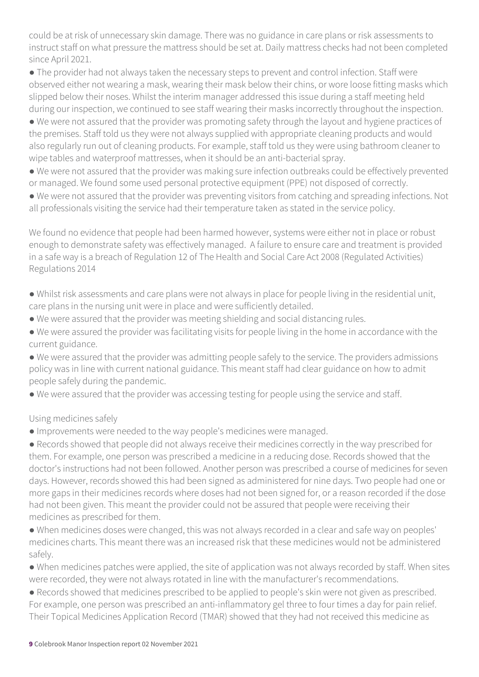could be at risk of unnecessary skin damage. There was no guidance in care plans or risk assessments to instruct staff on what pressure the mattress should be set at. Daily mattress checks had not been completed since April 2021.

● The provider had not always taken the necessary steps to prevent and control infection. Staff were observed either not wearing a mask, wearing their mask below their chins, or wore loose fitting masks which slipped below their noses. Whilst the interim manager addressed this issue during a staff meeting held during our inspection, we continued to see staff wearing their masks incorrectly throughout the inspection.

● We were not assured that the provider was promoting safety through the layout and hygiene practices of the premises. Staff told us they were not always supplied with appropriate cleaning products and would also regularly run out of cleaning products. For example, staff told us they were using bathroom cleaner to wipe tables and waterproof mattresses, when it should be an anti-bacterial spray.

● We were not assured that the provider was making sure infection outbreaks could be effectively prevented or managed. We found some used personal protective equipment (PPE) not disposed of correctly.

● We were not assured that the provider was preventing visitors from catching and spreading infections. Not all professionals visiting the service had their temperature taken as stated in the service policy.

We found no evidence that people had been harmed however, systems were either not in place or robust enough to demonstrate safety was effectively managed. A failure to ensure care and treatment is provided in a safe way is a breach of Regulation 12 of The Health and Social Care Act 2008 (Regulated Activities) Regulations 2014

● Whilst risk assessments and care plans were not always in place for people living in the residential unit, care plans in the nursing unit were in place and were sufficiently detailed.

- We were assured that the provider was meeting shielding and social distancing rules.
- We were assured the provider was facilitating visits for people living in the home in accordance with the current guidance.

● We were assured that the provider was admitting people safely to the service. The providers admissions policy was in line with current national guidance. This meant staff had clear guidance on how to admit people safely during the pandemic.

● We were assured that the provider was accessing testing for people using the service and staff.

#### Using medicines safely

● Improvements were needed to the way people's medicines were managed.

● Records showed that people did not always receive their medicines correctly in the way prescribed for them. For example, one person was prescribed a medicine in a reducing dose. Records showed that the doctor's instructions had not been followed. Another person was prescribed a course of medicines for seven days. However, records showed this had been signed as administered for nine days. Two people had one or more gaps in their medicines records where doses had not been signed for, or a reason recorded if the dose had not been given. This meant the provider could not be assured that people were receiving their medicines as prescribed for them.

● When medicines doses were changed, this was not always recorded in a clear and safe way on peoples' medicines charts. This meant there was an increased risk that these medicines would not be administered safely.

● When medicines patches were applied, the site of application was not always recorded by staff. When sites were recorded, they were not always rotated in line with the manufacturer's recommendations.

● Records showed that medicines prescribed to be applied to people's skin were not given as prescribed. For example, one person was prescribed an anti-inflammatory gel three to four times a day for pain relief. Their Topical Medicines Application Record (TMAR) showed that they had not received this medicine as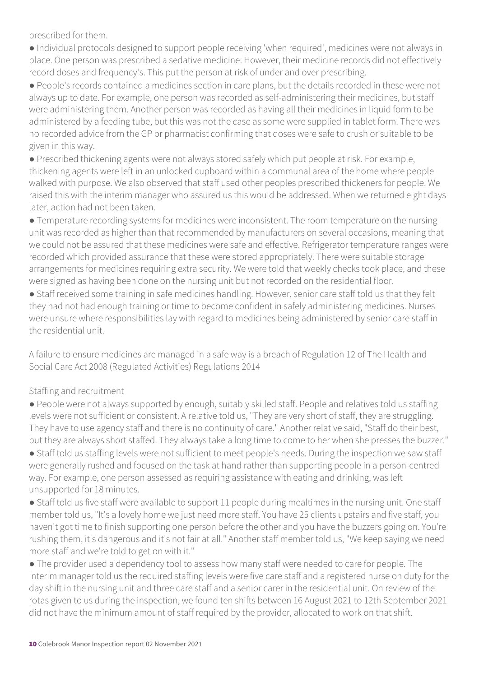prescribed for them.

● Individual protocols designed to support people receiving 'when required', medicines were not always in place. One person was prescribed a sedative medicine. However, their medicine records did not effectively record doses and frequency's. This put the person at risk of under and over prescribing.

● People's records contained a medicines section in care plans, but the details recorded in these were not always up to date. For example, one person was recorded as self-administering their medicines, but staff were administering them. Another person was recorded as having all their medicines in liquid form to be administered by a feeding tube, but this was not the case as some were supplied in tablet form. There was no recorded advice from the GP or pharmacist confirming that doses were safe to crush or suitable to be given in this way.

● Prescribed thickening agents were not always stored safely which put people at risk. For example, thickening agents were left in an unlocked cupboard within a communal area of the home where people walked with purpose. We also observed that staff used other peoples prescribed thickeners for people. We raised this with the interim manager who assured us this would be addressed. When we returned eight days later, action had not been taken.

● Temperature recording systems for medicines were inconsistent. The room temperature on the nursing unit was recorded as higher than that recommended by manufacturers on several occasions, meaning that we could not be assured that these medicines were safe and effective. Refrigerator temperature ranges were recorded which provided assurance that these were stored appropriately. There were suitable storage arrangements for medicines requiring extra security. We were told that weekly checks took place, and these were signed as having been done on the nursing unit but not recorded on the residential floor.

● Staff received some training in safe medicines handling. However, senior care staff told us that they felt they had not had enough training or time to become confident in safely administering medicines. Nurses were unsure where responsibilities lay with regard to medicines being administered by senior care staff in the residential unit.

A failure to ensure medicines are managed in a safe way is a breach of Regulation 12 of The Health and Social Care Act 2008 (Regulated Activities) Regulations 2014

#### Staffing and recruitment

● People were not always supported by enough, suitably skilled staff. People and relatives told us staffing levels were not sufficient or consistent. A relative told us, "They are very short of staff, they are struggling. They have to use agency staff and there is no continuity of care." Another relative said, "Staff do their best, but they are always short staffed. They always take a long time to come to her when she presses the buzzer." ● Staff told us staffing levels were not sufficient to meet people's needs. During the inspection we saw staff were generally rushed and focused on the task at hand rather than supporting people in a person-centred way. For example, one person assessed as requiring assistance with eating and drinking, was left

unsupported for 18 minutes.

● Staff told us five staff were available to support 11 people during mealtimes in the nursing unit. One staff member told us, "It's a lovely home we just need more staff. You have 25 clients upstairs and five staff, you haven't got time to finish supporting one person before the other and you have the buzzers going on. You're rushing them, it's dangerous and it's not fair at all." Another staff member told us, "We keep saying we need more staff and we're told to get on with it."

• The provider used a dependency tool to assess how many staff were needed to care for people. The interim manager told us the required staffing levels were five care staff and a registered nurse on duty for the day shift in the nursing unit and three care staff and a senior carer in the residential unit. On review of the rotas given to us during the inspection, we found ten shifts between 16 August 2021 to 12th September 2021 did not have the minimum amount of staff required by the provider, allocated to work on that shift.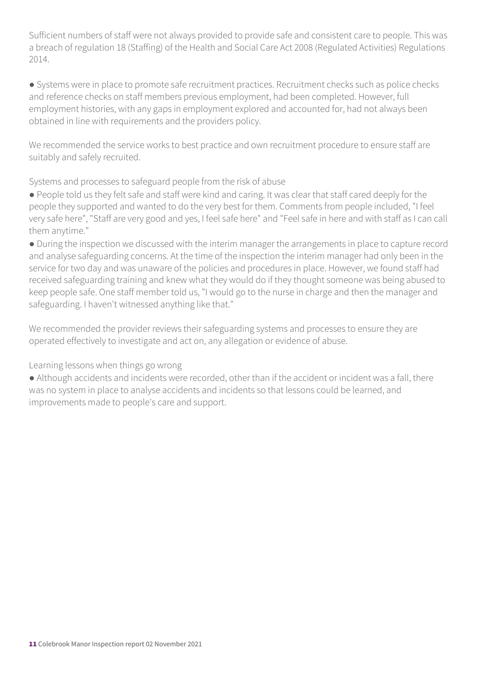Sufficient numbers of staff were not always provided to provide safe and consistent care to people. This was a breach of regulation 18 (Staffing) of the Health and Social Care Act 2008 (Regulated Activities) Regulations 2014.

● Systems were in place to promote safe recruitment practices. Recruitment checks such as police checks and reference checks on staff members previous employment, had been completed. However, full employment histories, with any gaps in employment explored and accounted for, had not always been obtained in line with requirements and the providers policy.

We recommended the service works to best practice and own recruitment procedure to ensure staff are suitably and safely recruited.

Systems and processes to safeguard people from the risk of abuse

● People told us they felt safe and staff were kind and caring. It was clear that staff cared deeply for the people they supported and wanted to do the very best for them. Comments from people included, "I feel very safe here", "Staff are very good and yes, I feel safe here" and "Feel safe in here and with staff as I can call them anytime."

● During the inspection we discussed with the interim manager the arrangements in place to capture record and analyse safeguarding concerns. At the time of the inspection the interim manager had only been in the service for two day and was unaware of the policies and procedures in place. However, we found staff had received safeguarding training and knew what they would do if they thought someone was being abused to keep people safe. One staff member told us, "I would go to the nurse in charge and then the manager and safeguarding. I haven't witnessed anything like that."

We recommended the provider reviews their safeguarding systems and processes to ensure they are operated effectively to investigate and act on, any allegation or evidence of abuse.

Learning lessons when things go wrong

● Although accidents and incidents were recorded, other than if the accident or incident was a fall, there was no system in place to analyse accidents and incidents so that lessons could be learned, and improvements made to people's care and support.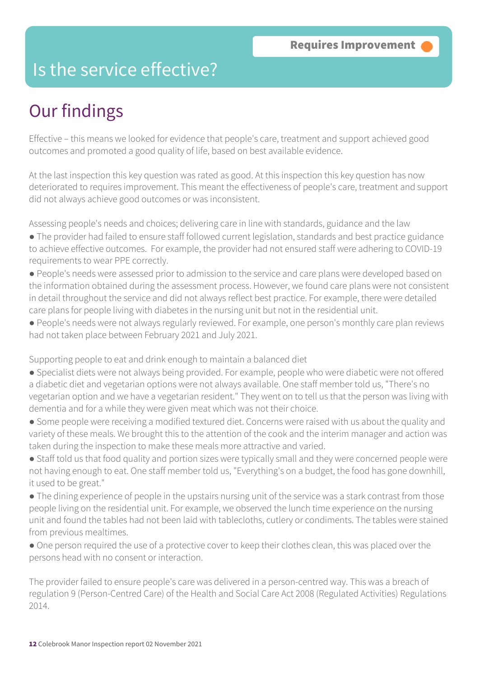## Is the service effective?

## Our findings

Effective – this means we looked for evidence that people's care, treatment and support achieved good outcomes and promoted a good quality of life, based on best available evidence.

At the last inspection this key question was rated as good. At this inspection this key question has now deteriorated to requires improvement. This meant the effectiveness of people's care, treatment and support did not always achieve good outcomes or was inconsistent.

Assessing people's needs and choices; delivering care in line with standards, guidance and the law

- The provider had failed to ensure staff followed current legislation, standards and best practice guidance to achieve effective outcomes. For example, the provider had not ensured staff were adhering to COVID-19 requirements to wear PPE correctly.
- People's needs were assessed prior to admission to the service and care plans were developed based on the information obtained during the assessment process. However, we found care plans were not consistent in detail throughout the service and did not always reflect best practice. For example, there were detailed care plans for people living with diabetes in the nursing unit but not in the residential unit.
- People's needs were not always regularly reviewed. For example, one person's monthly care plan reviews had not taken place between February 2021 and July 2021.

Supporting people to eat and drink enough to maintain a balanced diet

- Specialist diets were not always being provided. For example, people who were diabetic were not offered a diabetic diet and vegetarian options were not always available. One staff member told us, "There's no vegetarian option and we have a vegetarian resident." They went on to tell us that the person was living with dementia and for a while they were given meat which was not their choice.
- Some people were receiving a modified textured diet. Concerns were raised with us about the quality and variety of these meals. We brought this to the attention of the cook and the interim manager and action was taken during the inspection to make these meals more attractive and varied.
- Staff told us that food quality and portion sizes were typically small and they were concerned people were not having enough to eat. One staff member told us, "Everything's on a budget, the food has gone downhill, it used to be great."
- The dining experience of people in the upstairs nursing unit of the service was a stark contrast from those people living on the residential unit. For example, we observed the lunch time experience on the nursing unit and found the tables had not been laid with tablecloths, cutlery or condiments. The tables were stained from previous mealtimes.
- One person required the use of a protective cover to keep their clothes clean, this was placed over the persons head with no consent or interaction.

The provider failed to ensure people's care was delivered in a person-centred way. This was a breach of regulation 9 (Person-Centred Care) of the Health and Social Care Act 2008 (Regulated Activities) Regulations 2014.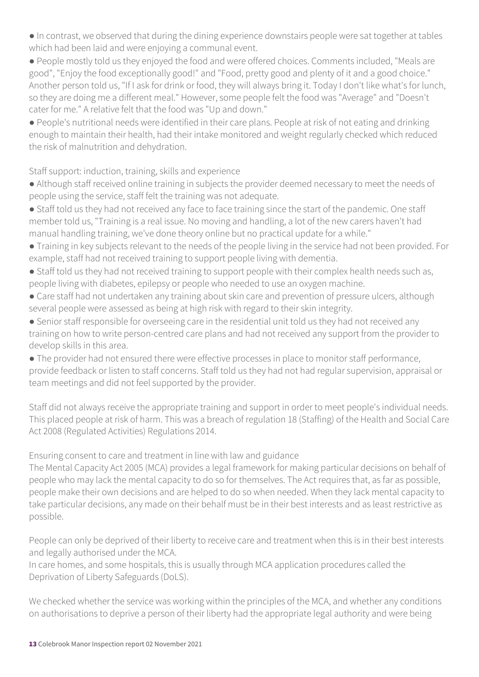● In contrast, we observed that during the dining experience downstairs people were sat together at tables which had been laid and were enjoying a communal event.

● People mostly told us they enjoyed the food and were offered choices. Comments included, "Meals are good", "Enjoy the food exceptionally good!" and "Food, pretty good and plenty of it and a good choice." Another person told us, "If I ask for drink or food, they will always bring it. Today I don't like what's for lunch, so they are doing me a different meal." However, some people felt the food was "Average" and "Doesn't cater for me." A relative felt that the food was "Up and down."

● People's nutritional needs were identified in their care plans. People at risk of not eating and drinking enough to maintain their health, had their intake monitored and weight regularly checked which reduced the risk of malnutrition and dehydration.

Staff support: induction, training, skills and experience

- Although staff received online training in subjects the provider deemed necessary to meet the needs of people using the service, staff felt the training was not adequate.
- Staff told us they had not received any face to face training since the start of the pandemic. One staff member told us, "Training is a real issue. No moving and handling, a lot of the new carers haven't had manual handling training, we've done theory online but no practical update for a while."
- Training in key subjects relevant to the needs of the people living in the service had not been provided. For example, staff had not received training to support people living with dementia.
- Staff told us they had not received training to support people with their complex health needs such as, people living with diabetes, epilepsy or people who needed to use an oxygen machine.
- Care staff had not undertaken any training about skin care and prevention of pressure ulcers, although several people were assessed as being at high risk with regard to their skin integrity.
- Senior staff responsible for overseeing care in the residential unit told us they had not received any training on how to write person-centred care plans and had not received any support from the provider to develop skills in this area.
- The provider had not ensured there were effective processes in place to monitor staff performance, provide feedback or listen to staff concerns. Staff told us they had not had regular supervision, appraisal or team meetings and did not feel supported by the provider.

Staff did not always receive the appropriate training and support in order to meet people's individual needs. This placed people at risk of harm. This was a breach of regulation 18 (Staffing) of the Health and Social Care Act 2008 (Regulated Activities) Regulations 2014.

Ensuring consent to care and treatment in line with law and guidance

The Mental Capacity Act 2005 (MCA) provides a legal framework for making particular decisions on behalf of people who may lack the mental capacity to do so for themselves. The Act requires that, as far as possible, people make their own decisions and are helped to do so when needed. When they lack mental capacity to take particular decisions, any made on their behalf must be in their best interests and as least restrictive as possible.

People can only be deprived of their liberty to receive care and treatment when this is in their best interests and legally authorised under the MCA.

In care homes, and some hospitals, this is usually through MCA application procedures called the Deprivation of Liberty Safeguards (DoLS).

We checked whether the service was working within the principles of the MCA, and whether any conditions on authorisations to deprive a person of their liberty had the appropriate legal authority and were being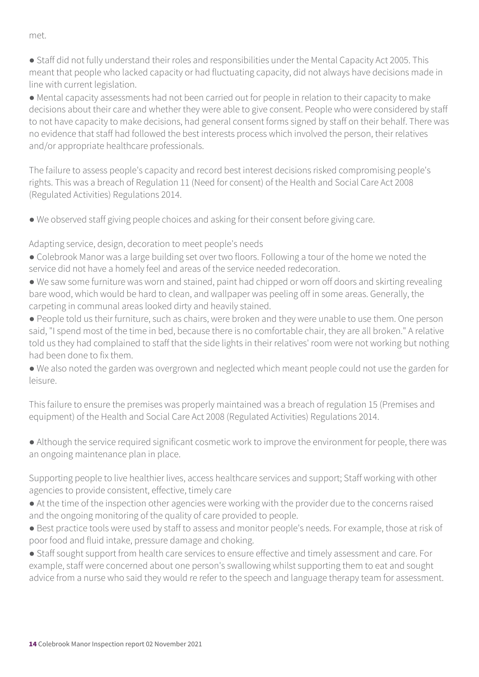met.

● Staff did not fully understand their roles and responsibilities under the Mental Capacity Act 2005. This meant that people who lacked capacity or had fluctuating capacity, did not always have decisions made in line with current legislation.

● Mental capacity assessments had not been carried out for people in relation to their capacity to make decisions about their care and whether they were able to give consent. People who were considered by staff to not have capacity to make decisions, had general consent forms signed by staff on their behalf. There was no evidence that staff had followed the best interests process which involved the person, their relatives and/or appropriate healthcare professionals.

The failure to assess people's capacity and record best interest decisions risked compromising people's rights. This was a breach of Regulation 11 (Need for consent) of the Health and Social Care Act 2008 (Regulated Activities) Regulations 2014.

● We observed staff giving people choices and asking for their consent before giving care.

Adapting service, design, decoration to meet people's needs

- Colebrook Manor was a large building set over two floors. Following a tour of the home we noted the service did not have a homely feel and areas of the service needed redecoration.
- We saw some furniture was worn and stained, paint had chipped or worn off doors and skirting revealing bare wood, which would be hard to clean, and wallpaper was peeling off in some areas. Generally, the carpeting in communal areas looked dirty and heavily stained.
- People told us their furniture, such as chairs, were broken and they were unable to use them. One person said, "I spend most of the time in bed, because there is no comfortable chair, they are all broken." A relative told us they had complained to staff that the side lights in their relatives' room were not working but nothing had been done to fix them.
- We also noted the garden was overgrown and neglected which meant people could not use the garden for leisure.

This failure to ensure the premises was properly maintained was a breach of regulation 15 (Premises and equipment) of the Health and Social Care Act 2008 (Regulated Activities) Regulations 2014.

● Although the service required significant cosmetic work to improve the environment for people, there was an ongoing maintenance plan in place.

Supporting people to live healthier lives, access healthcare services and support; Staff working with other agencies to provide consistent, effective, timely care

- At the time of the inspection other agencies were working with the provider due to the concerns raised and the ongoing monitoring of the quality of care provided to people.
- Best practice tools were used by staff to assess and monitor people's needs. For example, those at risk of poor food and fluid intake, pressure damage and choking.
- Staff sought support from health care services to ensure effective and timely assessment and care. For example, staff were concerned about one person's swallowing whilst supporting them to eat and sought advice from a nurse who said they would re refer to the speech and language therapy team for assessment.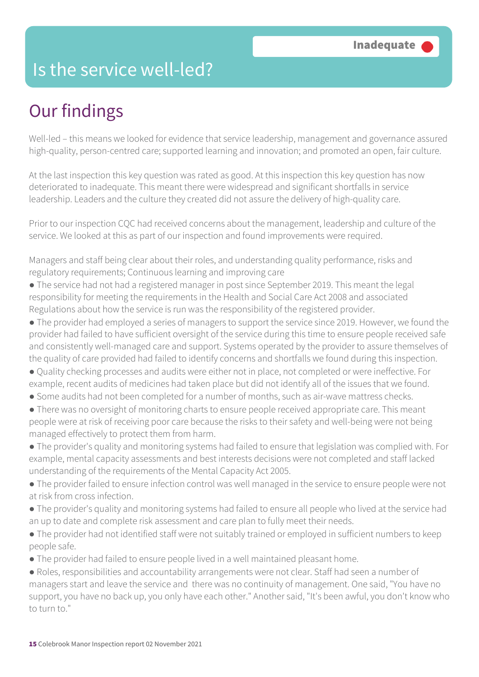## Is the service well-led?

## Our findings

Well-led – this means we looked for evidence that service leadership, management and governance assured high-quality, person-centred care; supported learning and innovation; and promoted an open, fair culture.

At the last inspection this key question was rated as good. At this inspection this key question has now deteriorated to inadequate. This meant there were widespread and significant shortfalls in service leadership. Leaders and the culture they created did not assure the delivery of high-quality care.

Prior to our inspection CQC had received concerns about the management, leadership and culture of the service. We looked at this as part of our inspection and found improvements were required.

Managers and staff being clear about their roles, and understanding quality performance, risks and regulatory requirements; Continuous learning and improving care

- The service had not had a registered manager in post since September 2019. This meant the legal responsibility for meeting the requirements in the Health and Social Care Act 2008 and associated Regulations about how the service is run was the responsibility of the registered provider.
- The provider had employed a series of managers to support the service since 2019. However, we found the provider had failed to have sufficient oversight of the service during this time to ensure people received safe and consistently well-managed care and support. Systems operated by the provider to assure themselves of the quality of care provided had failed to identify concerns and shortfalls we found during this inspection.
- Quality checking processes and audits were either not in place, not completed or were ineffective. For example, recent audits of medicines had taken place but did not identify all of the issues that we found.
- Some audits had not been completed for a number of months, such as air-wave mattress checks.
- There was no oversight of monitoring charts to ensure people received appropriate care. This meant people were at risk of receiving poor care because the risks to their safety and well-being were not being managed effectively to protect them from harm.
- The provider's quality and monitoring systems had failed to ensure that legislation was complied with. For example, mental capacity assessments and best interests decisions were not completed and staff lacked understanding of the requirements of the Mental Capacity Act 2005.
- The provider failed to ensure infection control was well managed in the service to ensure people were not at risk from cross infection.
- The provider's quality and monitoring systems had failed to ensure all people who lived at the service had an up to date and complete risk assessment and care plan to fully meet their needs.
- The provider had not identified staff were not suitably trained or employed in sufficient numbers to keep people safe.
- The provider had failed to ensure people lived in a well maintained pleasant home.
- Roles, responsibilities and accountability arrangements were not clear. Staff had seen a number of managers start and leave the service and there was no continuity of management. One said, "You have no support, you have no back up, you only have each other." Another said, "It's been awful, you don't know who to turn to."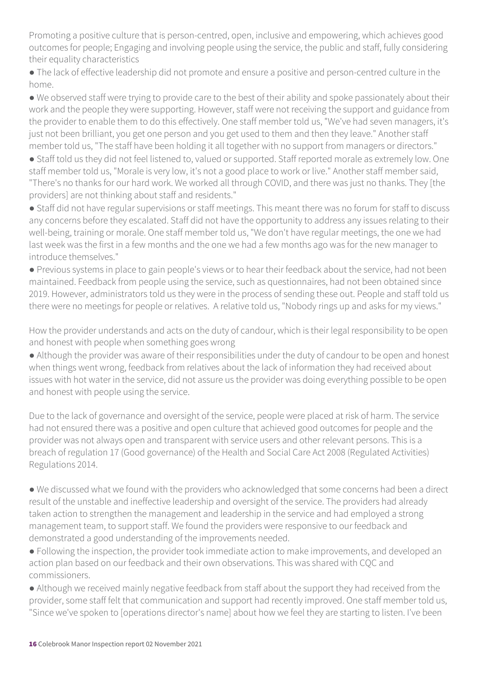Promoting a positive culture that is person-centred, open, inclusive and empowering, which achieves good outcomes for people; Engaging and involving people using the service, the public and staff, fully considering their equality characteristics

● The lack of effective leadership did not promote and ensure a positive and person-centred culture in the home.

● We observed staff were trying to provide care to the best of their ability and spoke passionately about their work and the people they were supporting. However, staff were not receiving the support and guidance from the provider to enable them to do this effectively. One staff member told us, "We've had seven managers, it's just not been brilliant, you get one person and you get used to them and then they leave." Another staff member told us, "The staff have been holding it all together with no support from managers or directors."

● Staff told us they did not feel listened to, valued or supported. Staff reported morale as extremely low. One staff member told us, "Morale is very low, it's not a good place to work or live." Another staff member said, "There's no thanks for our hard work. We worked all through COVID, and there was just no thanks. They [the providers] are not thinking about staff and residents."

● Staff did not have regular supervisions or staff meetings. This meant there was no forum for staff to discuss any concerns before they escalated. Staff did not have the opportunity to address any issues relating to their well-being, training or morale. One staff member told us, "We don't have regular meetings, the one we had last week was the first in a few months and the one we had a few months ago was for the new manager to introduce themselves."

● Previous systems in place to gain people's views or to hear their feedback about the service, had not been maintained. Feedback from people using the service, such as questionnaires, had not been obtained since 2019. However, administrators told us they were in the process of sending these out. People and staff told us there were no meetings for people or relatives. A relative told us, "Nobody rings up and asks for my views."

How the provider understands and acts on the duty of candour, which is their legal responsibility to be open and honest with people when something goes wrong

● Although the provider was aware of their responsibilities under the duty of candour to be open and honest when things went wrong, feedback from relatives about the lack of information they had received about issues with hot water in the service, did not assure us the provider was doing everything possible to be open and honest with people using the service.

Due to the lack of governance and oversight of the service, people were placed at risk of harm. The service had not ensured there was a positive and open culture that achieved good outcomes for people and the provider was not always open and transparent with service users and other relevant persons. This is a breach of regulation 17 (Good governance) of the Health and Social Care Act 2008 (Regulated Activities) Regulations 2014.

● We discussed what we found with the providers who acknowledged that some concerns had been a direct result of the unstable and ineffective leadership and oversight of the service. The providers had already taken action to strengthen the management and leadership in the service and had employed a strong management team, to support staff. We found the providers were responsive to our feedback and demonstrated a good understanding of the improvements needed.

● Following the inspection, the provider took immediate action to make improvements, and developed an action plan based on our feedback and their own observations. This was shared with CQC and commissioners.

• Although we received mainly negative feedback from staff about the support they had received from the provider, some staff felt that communication and support had recently improved. One staff member told us, "Since we've spoken to [operations director's name] about how we feel they are starting to listen. I've been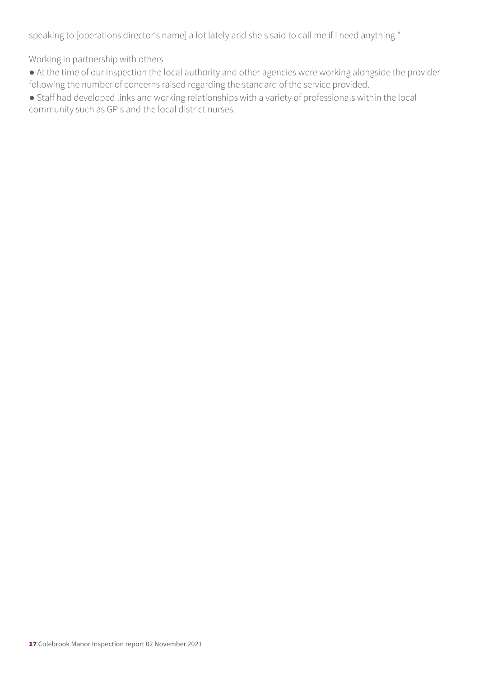speaking to [operations director's name] a lot lately and she's said to call me if I need anything."

Working in partnership with others

● At the time of our inspection the local authority and other agencies were working alongside the provider following the number of concerns raised regarding the standard of the service provided.

● Staff had developed links and working relationships with a variety of professionals within the local community such as GP's and the local district nurses.